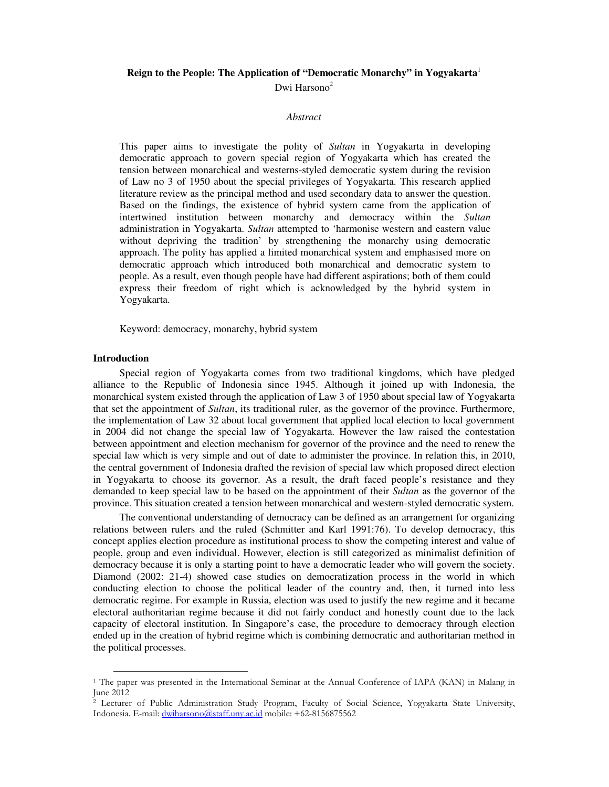# **Reign to the People: The Application of "Democratic Monarchy" in Yogyakarta**<sup>1</sup> Dwi Harsono<sup>2</sup>

#### *Abstract*

This paper aims to investigate the polity of *Sultan* in Yogyakarta in developing democratic approach to govern special region of Yogyakarta which has created the tension between monarchical and westerns-styled democratic system during the revision of Law no 3 of 1950 about the special privileges of Yogyakarta. This research applied literature review as the principal method and used secondary data to answer the question. Based on the findings, the existence of hybrid system came from the application of intertwined institution between monarchy and democracy within the *Sultan* administration in Yogyakarta. *Sultan* attempted to 'harmonise western and eastern value without depriving the tradition' by strengthening the monarchy using democratic approach. The polity has applied a limited monarchical system and emphasised more on democratic approach which introduced both monarchical and democratic system to people. As a result, even though people have had different aspirations; both of them could express their freedom of right which is acknowledged by the hybrid system in Yogyakarta.

Keyword: democracy, monarchy, hybrid system

### **Introduction**

-

Special region of Yogyakarta comes from two traditional kingdoms, which have pledged alliance to the Republic of Indonesia since 1945. Although it joined up with Indonesia, the monarchical system existed through the application of Law 3 of 1950 about special law of Yogyakarta that set the appointment of *Sultan*, its traditional ruler, as the governor of the province. Furthermore, the implementation of Law 32 about local government that applied local election to local government in 2004 did not change the special law of Yogyakarta. However the law raised the contestation between appointment and election mechanism for governor of the province and the need to renew the special law which is very simple and out of date to administer the province. In relation this, in 2010, the central government of Indonesia drafted the revision of special law which proposed direct election in Yogyakarta to choose its governor. As a result, the draft faced people's resistance and they demanded to keep special law to be based on the appointment of their *Sultan* as the governor of the province. This situation created a tension between monarchical and western-styled democratic system.

The conventional understanding of democracy can be defined as an arrangement for organizing relations between rulers and the ruled (Schmitter and Karl 1991:76). To develop democracy, this concept applies election procedure as institutional process to show the competing interest and value of people, group and even individual. However, election is still categorized as minimalist definition of democracy because it is only a starting point to have a democratic leader who will govern the society. Diamond (2002: 21-4) showed case studies on democratization process in the world in which conducting election to choose the political leader of the country and, then, it turned into less democratic regime. For example in Russia, election was used to justify the new regime and it became electoral authoritarian regime because it did not fairly conduct and honestly count due to the lack capacity of electoral institution. In Singapore's case, the procedure to democracy through election ended up in the creation of hybrid regime which is combining democratic and authoritarian method in the political processes.

<sup>&</sup>lt;sup>1</sup> The paper was presented in the International Seminar at the Annual Conference of IAPA (KAN) in Malang in June 2012

<sup>2</sup> Lecturer of Public Administration Study Program, Faculty of Social Science, Yogyakarta State University, Indonesia. E-mail: dwiharsono@staff.uny.ac.id mobile: +62-8156875562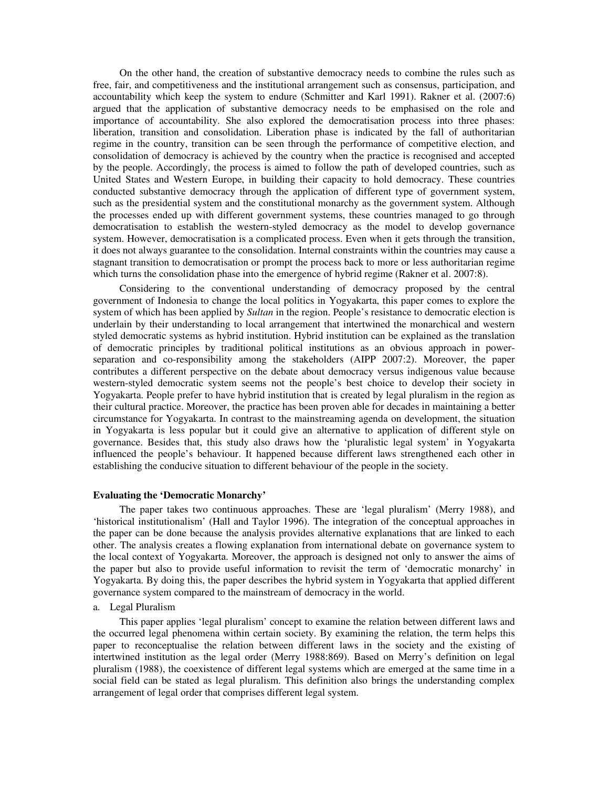On the other hand, the creation of substantive democracy needs to combine the rules such as free, fair, and competitiveness and the institutional arrangement such as consensus, participation, and accountability which keep the system to endure (Schmitter and Karl 1991). Rakner et al. (2007:6) argued that the application of substantive democracy needs to be emphasised on the role and importance of accountability. She also explored the democratisation process into three phases: liberation, transition and consolidation. Liberation phase is indicated by the fall of authoritarian regime in the country, transition can be seen through the performance of competitive election, and consolidation of democracy is achieved by the country when the practice is recognised and accepted by the people. Accordingly, the process is aimed to follow the path of developed countries, such as United States and Western Europe, in building their capacity to hold democracy. These countries conducted substantive democracy through the application of different type of government system, such as the presidential system and the constitutional monarchy as the government system. Although the processes ended up with different government systems, these countries managed to go through democratisation to establish the western-styled democracy as the model to develop governance system. However, democratisation is a complicated process. Even when it gets through the transition, it does not always guarantee to the consolidation. Internal constraints within the countries may cause a stagnant transition to democratisation or prompt the process back to more or less authoritarian regime which turns the consolidation phase into the emergence of hybrid regime (Rakner et al. 2007:8).

Considering to the conventional understanding of democracy proposed by the central government of Indonesia to change the local politics in Yogyakarta, this paper comes to explore the system of which has been applied by *Sultan* in the region. People's resistance to democratic election is underlain by their understanding to local arrangement that intertwined the monarchical and western styled democratic systems as hybrid institution. Hybrid institution can be explained as the translation of democratic principles by traditional political institutions as an obvious approach in powerseparation and co-responsibility among the stakeholders (AIPP 2007:2). Moreover, the paper contributes a different perspective on the debate about democracy versus indigenous value because western-styled democratic system seems not the people's best choice to develop their society in Yogyakarta. People prefer to have hybrid institution that is created by legal pluralism in the region as their cultural practice. Moreover, the practice has been proven able for decades in maintaining a better circumstance for Yogyakarta. In contrast to the mainstreaming agenda on development, the situation in Yogyakarta is less popular but it could give an alternative to application of different style on governance. Besides that, this study also draws how the 'pluralistic legal system' in Yogyakarta influenced the people's behaviour. It happened because different laws strengthened each other in establishing the conducive situation to different behaviour of the people in the society.

### **Evaluating the 'Democratic Monarchy'**

The paper takes two continuous approaches. These are 'legal pluralism' (Merry 1988), and 'historical institutionalism' (Hall and Taylor 1996). The integration of the conceptual approaches in the paper can be done because the analysis provides alternative explanations that are linked to each other. The analysis creates a flowing explanation from international debate on governance system to the local context of Yogyakarta. Moreover, the approach is designed not only to answer the aims of the paper but also to provide useful information to revisit the term of 'democratic monarchy' in Yogyakarta. By doing this, the paper describes the hybrid system in Yogyakarta that applied different governance system compared to the mainstream of democracy in the world.

a. Legal Pluralism

This paper applies 'legal pluralism' concept to examine the relation between different laws and the occurred legal phenomena within certain society. By examining the relation, the term helps this paper to reconceptualise the relation between different laws in the society and the existing of intertwined institution as the legal order (Merry 1988:869). Based on Merry's definition on legal pluralism (1988), the coexistence of different legal systems which are emerged at the same time in a social field can be stated as legal pluralism. This definition also brings the understanding complex arrangement of legal order that comprises different legal system.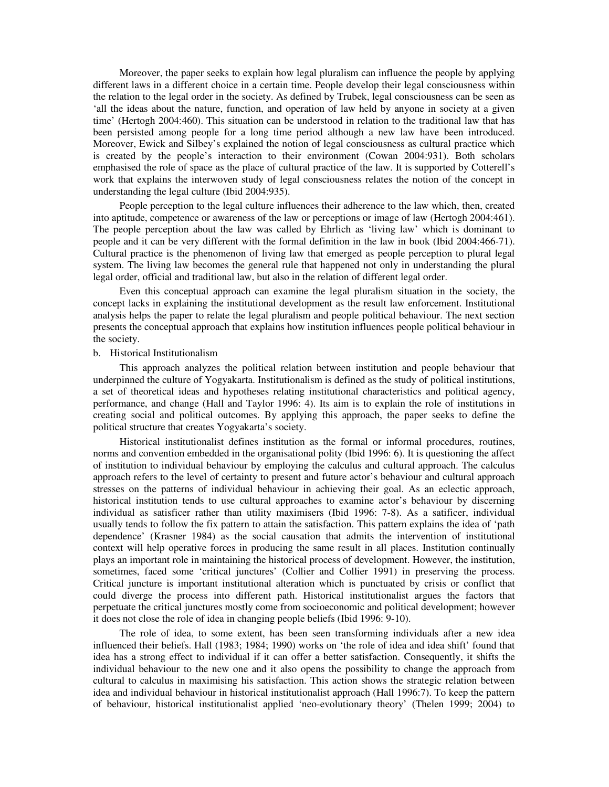Moreover, the paper seeks to explain how legal pluralism can influence the people by applying different laws in a different choice in a certain time. People develop their legal consciousness within the relation to the legal order in the society. As defined by Trubek, legal consciousness can be seen as 'all the ideas about the nature, function, and operation of law held by anyone in society at a given time' (Hertogh 2004:460). This situation can be understood in relation to the traditional law that has been persisted among people for a long time period although a new law have been introduced. Moreover, Ewick and Silbey's explained the notion of legal consciousness as cultural practice which is created by the people's interaction to their environment (Cowan 2004:931). Both scholars emphasised the role of space as the place of cultural practice of the law. It is supported by Cotterell's work that explains the interwoven study of legal consciousness relates the notion of the concept in understanding the legal culture (Ibid 2004:935).

People perception to the legal culture influences their adherence to the law which, then, created into aptitude, competence or awareness of the law or perceptions or image of law (Hertogh 2004:461). The people perception about the law was called by Ehrlich as 'living law' which is dominant to people and it can be very different with the formal definition in the law in book (Ibid 2004:466-71). Cultural practice is the phenomenon of living law that emerged as people perception to plural legal system. The living law becomes the general rule that happened not only in understanding the plural legal order, official and traditional law, but also in the relation of different legal order.

Even this conceptual approach can examine the legal pluralism situation in the society, the concept lacks in explaining the institutional development as the result law enforcement. Institutional analysis helps the paper to relate the legal pluralism and people political behaviour. The next section presents the conceptual approach that explains how institution influences people political behaviour in the society.

#### b. Historical Institutionalism

This approach analyzes the political relation between institution and people behaviour that underpinned the culture of Yogyakarta. Institutionalism is defined as the study of political institutions, a set of theoretical ideas and hypotheses relating institutional characteristics and political agency, performance, and change (Hall and Taylor 1996: 4). Its aim is to explain the role of institutions in creating social and political outcomes. By applying this approach, the paper seeks to define the political structure that creates Yogyakarta's society.

Historical institutionalist defines institution as the formal or informal procedures, routines, norms and convention embedded in the organisational polity (Ibid 1996: 6). It is questioning the affect of institution to individual behaviour by employing the calculus and cultural approach. The calculus approach refers to the level of certainty to present and future actor's behaviour and cultural approach stresses on the patterns of individual behaviour in achieving their goal. As an eclectic approach, historical institution tends to use cultural approaches to examine actor's behaviour by discerning individual as satisficer rather than utility maximisers (Ibid 1996: 7-8). As a satificer, individual usually tends to follow the fix pattern to attain the satisfaction. This pattern explains the idea of 'path dependence' (Krasner 1984) as the social causation that admits the intervention of institutional context will help operative forces in producing the same result in all places. Institution continually plays an important role in maintaining the historical process of development. However, the institution, sometimes, faced some 'critical junctures' (Collier and Collier 1991) in preserving the process. Critical juncture is important institutional alteration which is punctuated by crisis or conflict that could diverge the process into different path. Historical institutionalist argues the factors that perpetuate the critical junctures mostly come from socioeconomic and political development; however it does not close the role of idea in changing people beliefs (Ibid 1996: 9-10).

The role of idea, to some extent, has been seen transforming individuals after a new idea influenced their beliefs. Hall (1983; 1984; 1990) works on 'the role of idea and idea shift' found that idea has a strong effect to individual if it can offer a better satisfaction. Consequently, it shifts the individual behaviour to the new one and it also opens the possibility to change the approach from cultural to calculus in maximising his satisfaction. This action shows the strategic relation between idea and individual behaviour in historical institutionalist approach (Hall 1996:7). To keep the pattern of behaviour, historical institutionalist applied 'neo-evolutionary theory' (Thelen 1999; 2004) to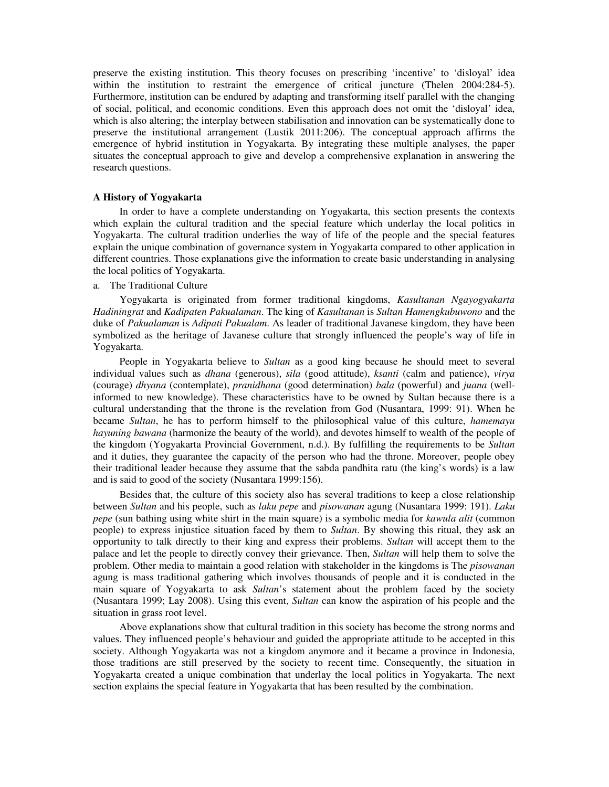preserve the existing institution. This theory focuses on prescribing 'incentive' to 'disloyal' idea within the institution to restraint the emergence of critical juncture (Thelen 2004:284-5). Furthermore, institution can be endured by adapting and transforming itself parallel with the changing of social, political, and economic conditions. Even this approach does not omit the 'disloyal' idea, which is also altering; the interplay between stabilisation and innovation can be systematically done to preserve the institutional arrangement (Lustik 2011:206). The conceptual approach affirms the emergence of hybrid institution in Yogyakarta. By integrating these multiple analyses, the paper situates the conceptual approach to give and develop a comprehensive explanation in answering the research questions.

# **A History of Yogyakarta**

In order to have a complete understanding on Yogyakarta, this section presents the contexts which explain the cultural tradition and the special feature which underlay the local politics in Yogyakarta. The cultural tradition underlies the way of life of the people and the special features explain the unique combination of governance system in Yogyakarta compared to other application in different countries. Those explanations give the information to create basic understanding in analysing the local politics of Yogyakarta.

a. The Traditional Culture

Yogyakarta is originated from former traditional kingdoms, *Kasultanan Ngayogyakarta Hadiningrat* and *Kadipaten Pakualaman*. The king of *Kasultanan* is *Sultan Hamengkubuwono* and the duke of *Pakualaman* is *Adipati Pakualam*. As leader of traditional Javanese kingdom, they have been symbolized as the heritage of Javanese culture that strongly influenced the people's way of life in Yogyakarta.

People in Yogyakarta believe to *Sultan* as a good king because he should meet to several individual values such as *dhana* (generous), *sila* (good attitude), *ksanti* (calm and patience), *virya* (courage) *dhyana* (contemplate), *pranidhana* (good determination) *bala* (powerful) and *juana* (wellinformed to new knowledge). These characteristics have to be owned by Sultan because there is a cultural understanding that the throne is the revelation from God (Nusantara, 1999: 91). When he became *Sultan*, he has to perform himself to the philosophical value of this culture, *hamemayu hayuning bawana* (harmonize the beauty of the world), and devotes himself to wealth of the people of the kingdom (Yogyakarta Provincial Government, n.d.). By fulfilling the requirements to be *Sultan* and it duties, they guarantee the capacity of the person who had the throne. Moreover, people obey their traditional leader because they assume that the sabda pandhita ratu (the king's words) is a law and is said to good of the society (Nusantara 1999:156).

Besides that, the culture of this society also has several traditions to keep a close relationship between *Sultan* and his people, such as *laku pepe* and *pisowanan* agung (Nusantara 1999: 191). *Laku pepe* (sun bathing using white shirt in the main square) is a symbolic media for *kawula alit* (common people) to express injustice situation faced by them to *Sultan*. By showing this ritual, they ask an opportunity to talk directly to their king and express their problems. *Sultan* will accept them to the palace and let the people to directly convey their grievance. Then, *Sultan* will help them to solve the problem. Other media to maintain a good relation with stakeholder in the kingdoms is The *pisowanan* agung is mass traditional gathering which involves thousands of people and it is conducted in the main square of Yogyakarta to ask *Sultan*'s statement about the problem faced by the society (Nusantara 1999; Lay 2008). Using this event, *Sultan* can know the aspiration of his people and the situation in grass root level.

Above explanations show that cultural tradition in this society has become the strong norms and values. They influenced people's behaviour and guided the appropriate attitude to be accepted in this society. Although Yogyakarta was not a kingdom anymore and it became a province in Indonesia, those traditions are still preserved by the society to recent time. Consequently, the situation in Yogyakarta created a unique combination that underlay the local politics in Yogyakarta. The next section explains the special feature in Yogyakarta that has been resulted by the combination.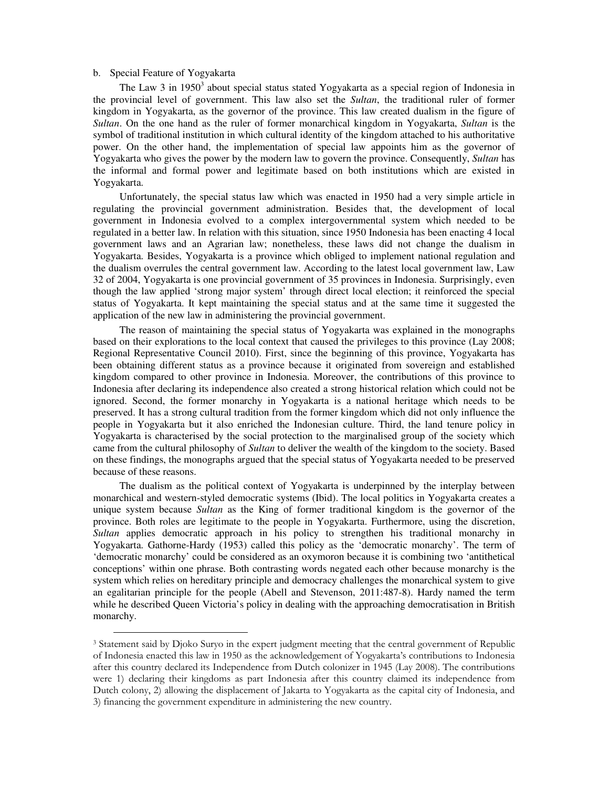### b. Special Feature of Yogyakarta

1

The Law 3 in 1950<sup>3</sup> about special status stated Yogyakarta as a special region of Indonesia in the provincial level of government. This law also set the *Sultan*, the traditional ruler of former kingdom in Yogyakarta, as the governor of the province. This law created dualism in the figure of *Sultan*. On the one hand as the ruler of former monarchical kingdom in Yogyakarta, *Sultan* is the symbol of traditional institution in which cultural identity of the kingdom attached to his authoritative power. On the other hand, the implementation of special law appoints him as the governor of Yogyakarta who gives the power by the modern law to govern the province. Consequently, *Sultan* has the informal and formal power and legitimate based on both institutions which are existed in Yogyakarta.

Unfortunately, the special status law which was enacted in 1950 had a very simple article in regulating the provincial government administration. Besides that, the development of local government in Indonesia evolved to a complex intergovernmental system which needed to be regulated in a better law. In relation with this situation, since 1950 Indonesia has been enacting 4 local government laws and an Agrarian law; nonetheless, these laws did not change the dualism in Yogyakarta. Besides, Yogyakarta is a province which obliged to implement national regulation and the dualism overrules the central government law. According to the latest local government law, Law 32 of 2004, Yogyakarta is one provincial government of 35 provinces in Indonesia. Surprisingly, even though the law applied 'strong major system' through direct local election; it reinforced the special status of Yogyakarta. It kept maintaining the special status and at the same time it suggested the application of the new law in administering the provincial government.

The reason of maintaining the special status of Yogyakarta was explained in the monographs based on their explorations to the local context that caused the privileges to this province (Lay 2008; Regional Representative Council 2010). First, since the beginning of this province, Yogyakarta has been obtaining different status as a province because it originated from sovereign and established kingdom compared to other province in Indonesia. Moreover, the contributions of this province to Indonesia after declaring its independence also created a strong historical relation which could not be ignored. Second, the former monarchy in Yogyakarta is a national heritage which needs to be preserved. It has a strong cultural tradition from the former kingdom which did not only influence the people in Yogyakarta but it also enriched the Indonesian culture. Third, the land tenure policy in Yogyakarta is characterised by the social protection to the marginalised group of the society which came from the cultural philosophy of *Sultan* to deliver the wealth of the kingdom to the society. Based on these findings, the monographs argued that the special status of Yogyakarta needed to be preserved because of these reasons.

The dualism as the political context of Yogyakarta is underpinned by the interplay between monarchical and western-styled democratic systems (Ibid). The local politics in Yogyakarta creates a unique system because *Sultan* as the King of former traditional kingdom is the governor of the province. Both roles are legitimate to the people in Yogyakarta. Furthermore, using the discretion, *Sultan* applies democratic approach in his policy to strengthen his traditional monarchy in Yogyakarta. Gathorne-Hardy (1953) called this policy as the 'democratic monarchy'. The term of 'democratic monarchy' could be considered as an oxymoron because it is combining two 'antithetical conceptions' within one phrase. Both contrasting words negated each other because monarchy is the system which relies on hereditary principle and democracy challenges the monarchical system to give an egalitarian principle for the people (Abell and Stevenson, 2011:487-8). Hardy named the term while he described Queen Victoria's policy in dealing with the approaching democratisation in British monarchy.

<sup>3</sup> Statement said by Djoko Suryo in the expert judgment meeting that the central government of Republic of Indonesia enacted this law in 1950 as the acknowledgement of Yogyakarta's contributions to Indonesia after this country declared its Independence from Dutch colonizer in 1945 (Lay 2008). The contributions were 1) declaring their kingdoms as part Indonesia after this country claimed its independence from Dutch colony, 2) allowing the displacement of Jakarta to Yogyakarta as the capital city of Indonesia, and 3) financing the government expenditure in administering the new country.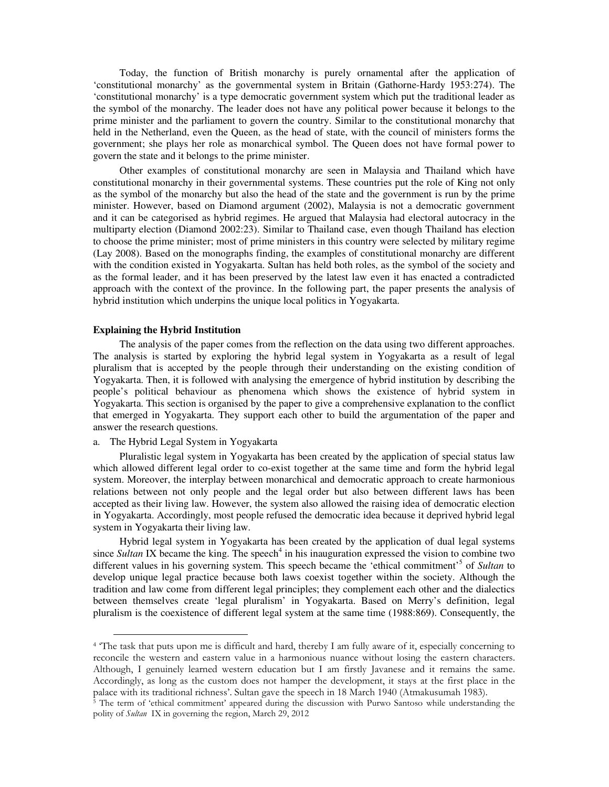Today, the function of British monarchy is purely ornamental after the application of 'constitutional monarchy' as the governmental system in Britain (Gathorne-Hardy 1953:274). The 'constitutional monarchy' is a type democratic government system which put the traditional leader as the symbol of the monarchy. The leader does not have any political power because it belongs to the prime minister and the parliament to govern the country. Similar to the constitutional monarchy that held in the Netherland, even the Queen, as the head of state, with the council of ministers forms the government; she plays her role as monarchical symbol. The Queen does not have formal power to govern the state and it belongs to the prime minister.

Other examples of constitutional monarchy are seen in Malaysia and Thailand which have constitutional monarchy in their governmental systems. These countries put the role of King not only as the symbol of the monarchy but also the head of the state and the government is run by the prime minister. However, based on Diamond argument (2002), Malaysia is not a democratic government and it can be categorised as hybrid regimes. He argued that Malaysia had electoral autocracy in the multiparty election (Diamond 2002:23). Similar to Thailand case, even though Thailand has election to choose the prime minister; most of prime ministers in this country were selected by military regime (Lay 2008). Based on the monographs finding, the examples of constitutional monarchy are different with the condition existed in Yogyakarta. Sultan has held both roles, as the symbol of the society and as the formal leader, and it has been preserved by the latest law even it has enacted a contradicted approach with the context of the province. In the following part, the paper presents the analysis of hybrid institution which underpins the unique local politics in Yogyakarta.

### **Explaining the Hybrid Institution**

The analysis of the paper comes from the reflection on the data using two different approaches. The analysis is started by exploring the hybrid legal system in Yogyakarta as a result of legal pluralism that is accepted by the people through their understanding on the existing condition of Yogyakarta. Then, it is followed with analysing the emergence of hybrid institution by describing the people's political behaviour as phenomena which shows the existence of hybrid system in Yogyakarta. This section is organised by the paper to give a comprehensive explanation to the conflict that emerged in Yogyakarta. They support each other to build the argumentation of the paper and answer the research questions.

# a. The Hybrid Legal System in Yogyakarta

1

Pluralistic legal system in Yogyakarta has been created by the application of special status law which allowed different legal order to co-exist together at the same time and form the hybrid legal system. Moreover, the interplay between monarchical and democratic approach to create harmonious relations between not only people and the legal order but also between different laws has been accepted as their living law. However, the system also allowed the raising idea of democratic election in Yogyakarta. Accordingly, most people refused the democratic idea because it deprived hybrid legal system in Yogyakarta their living law.

Hybrid legal system in Yogyakarta has been created by the application of dual legal systems since *Sultan* IX became the king. The speech<sup>4</sup> in his inauguration expressed the vision to combine two different values in his governing system. This speech became the 'ethical commitment'<sup>5</sup> of *Sultan* to develop unique legal practice because both laws coexist together within the society. Although the tradition and law come from different legal principles; they complement each other and the dialectics between themselves create 'legal pluralism' in Yogyakarta. Based on Merry's definition, legal pluralism is the coexistence of different legal system at the same time (1988:869). Consequently, the

<sup>&</sup>lt;sup>4</sup> The task that puts upon me is difficult and hard, thereby I am fully aware of it, especially concerning to reconcile the western and eastern value in a harmonious nuance without losing the eastern characters. Although, I genuinely learned western education but I am firstly Javanese and it remains the same. Accordingly, as long as the custom does not hamper the development, it stays at the first place in the palace with its traditional richness'. Sultan gave the speech in 18 March 1940 (Atmakusumah 1983).

<sup>5</sup> The term of 'ethical commitment' appeared during the discussion with Purwo Santoso while understanding the polity of Sultan IX in governing the region, March 29, 2012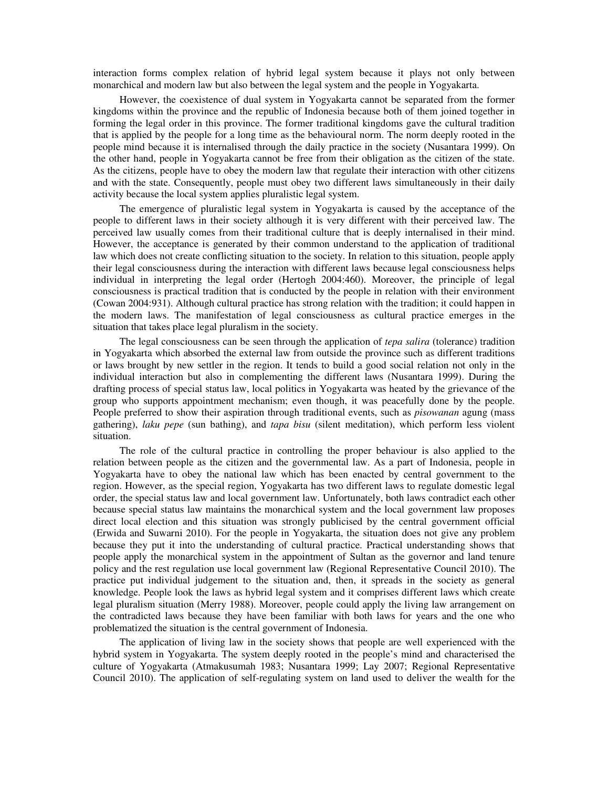interaction forms complex relation of hybrid legal system because it plays not only between monarchical and modern law but also between the legal system and the people in Yogyakarta.

However, the coexistence of dual system in Yogyakarta cannot be separated from the former kingdoms within the province and the republic of Indonesia because both of them joined together in forming the legal order in this province. The former traditional kingdoms gave the cultural tradition that is applied by the people for a long time as the behavioural norm. The norm deeply rooted in the people mind because it is internalised through the daily practice in the society (Nusantara 1999). On the other hand, people in Yogyakarta cannot be free from their obligation as the citizen of the state. As the citizens, people have to obey the modern law that regulate their interaction with other citizens and with the state. Consequently, people must obey two different laws simultaneously in their daily activity because the local system applies pluralistic legal system.

The emergence of pluralistic legal system in Yogyakarta is caused by the acceptance of the people to different laws in their society although it is very different with their perceived law. The perceived law usually comes from their traditional culture that is deeply internalised in their mind. However, the acceptance is generated by their common understand to the application of traditional law which does not create conflicting situation to the society. In relation to this situation, people apply their legal consciousness during the interaction with different laws because legal consciousness helps individual in interpreting the legal order (Hertogh 2004:460). Moreover, the principle of legal consciousness is practical tradition that is conducted by the people in relation with their environment (Cowan 2004:931). Although cultural practice has strong relation with the tradition; it could happen in the modern laws. The manifestation of legal consciousness as cultural practice emerges in the situation that takes place legal pluralism in the society.

The legal consciousness can be seen through the application of *tepa salira* (tolerance) tradition in Yogyakarta which absorbed the external law from outside the province such as different traditions or laws brought by new settler in the region. It tends to build a good social relation not only in the individual interaction but also in complementing the different laws (Nusantara 1999). During the drafting process of special status law, local politics in Yogyakarta was heated by the grievance of the group who supports appointment mechanism; even though, it was peacefully done by the people. People preferred to show their aspiration through traditional events, such as *pisowanan* agung (mass gathering), *laku pepe* (sun bathing), and *tapa bisu* (silent meditation), which perform less violent situation.

The role of the cultural practice in controlling the proper behaviour is also applied to the relation between people as the citizen and the governmental law. As a part of Indonesia, people in Yogyakarta have to obey the national law which has been enacted by central government to the region. However, as the special region, Yogyakarta has two different laws to regulate domestic legal order, the special status law and local government law. Unfortunately, both laws contradict each other because special status law maintains the monarchical system and the local government law proposes direct local election and this situation was strongly publicised by the central government official (Erwida and Suwarni 2010). For the people in Yogyakarta, the situation does not give any problem because they put it into the understanding of cultural practice. Practical understanding shows that people apply the monarchical system in the appointment of Sultan as the governor and land tenure policy and the rest regulation use local government law (Regional Representative Council 2010). The practice put individual judgement to the situation and, then, it spreads in the society as general knowledge. People look the laws as hybrid legal system and it comprises different laws which create legal pluralism situation (Merry 1988). Moreover, people could apply the living law arrangement on the contradicted laws because they have been familiar with both laws for years and the one who problematized the situation is the central government of Indonesia.

The application of living law in the society shows that people are well experienced with the hybrid system in Yogyakarta. The system deeply rooted in the people's mind and characterised the culture of Yogyakarta (Atmakusumah 1983; Nusantara 1999; Lay 2007; Regional Representative Council 2010). The application of self-regulating system on land used to deliver the wealth for the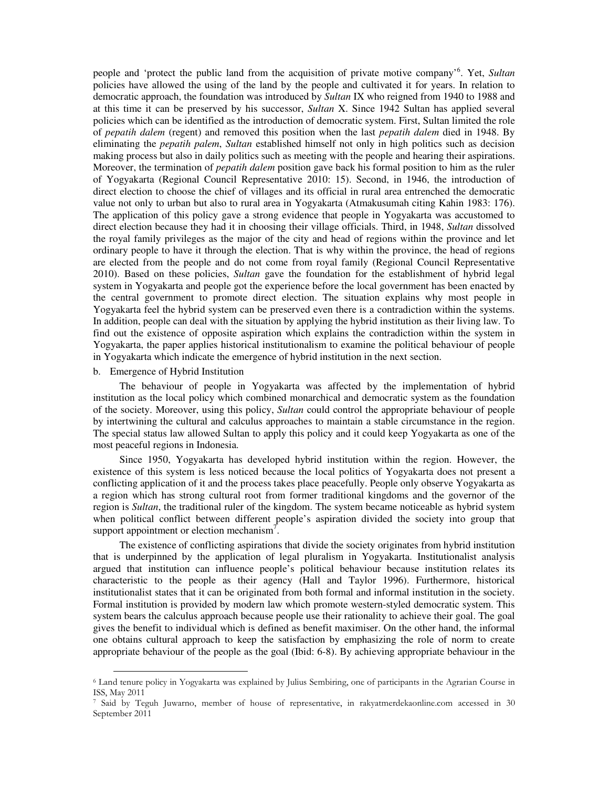people and 'protect the public land from the acquisition of private motive company'<sup>6</sup> . Yet, *Sultan* policies have allowed the using of the land by the people and cultivated it for years. In relation to democratic approach, the foundation was introduced by *Sultan* IX who reigned from 1940 to 1988 and at this time it can be preserved by his successor, *Sultan* X. Since 1942 Sultan has applied several policies which can be identified as the introduction of democratic system. First, Sultan limited the role of *pepatih dalem* (regent) and removed this position when the last *pepatih dalem* died in 1948. By eliminating the *pepatih palem*, *Sultan* established himself not only in high politics such as decision making process but also in daily politics such as meeting with the people and hearing their aspirations. Moreover, the termination of *pepatih dalem* position gave back his formal position to him as the ruler of Yogyakarta (Regional Council Representative 2010: 15). Second, in 1946, the introduction of direct election to choose the chief of villages and its official in rural area entrenched the democratic value not only to urban but also to rural area in Yogyakarta (Atmakusumah citing Kahin 1983: 176). The application of this policy gave a strong evidence that people in Yogyakarta was accustomed to direct election because they had it in choosing their village officials. Third, in 1948, *Sultan* dissolved the royal family privileges as the major of the city and head of regions within the province and let ordinary people to have it through the election. That is why within the province, the head of regions are elected from the people and do not come from royal family (Regional Council Representative 2010). Based on these policies, *Sultan* gave the foundation for the establishment of hybrid legal system in Yogyakarta and people got the experience before the local government has been enacted by the central government to promote direct election. The situation explains why most people in Yogyakarta feel the hybrid system can be preserved even there is a contradiction within the systems. In addition, people can deal with the situation by applying the hybrid institution as their living law. To find out the existence of opposite aspiration which explains the contradiction within the system in Yogyakarta, the paper applies historical institutionalism to examine the political behaviour of people in Yogyakarta which indicate the emergence of hybrid institution in the next section.

### b. Emergence of Hybrid Institution

-

The behaviour of people in Yogyakarta was affected by the implementation of hybrid institution as the local policy which combined monarchical and democratic system as the foundation of the society. Moreover, using this policy, *Sultan* could control the appropriate behaviour of people by intertwining the cultural and calculus approaches to maintain a stable circumstance in the region. The special status law allowed Sultan to apply this policy and it could keep Yogyakarta as one of the most peaceful regions in Indonesia.

Since 1950, Yogyakarta has developed hybrid institution within the region. However, the existence of this system is less noticed because the local politics of Yogyakarta does not present a conflicting application of it and the process takes place peacefully. People only observe Yogyakarta as a region which has strong cultural root from former traditional kingdoms and the governor of the region is *Sultan*, the traditional ruler of the kingdom. The system became noticeable as hybrid system when political conflict between different people's aspiration divided the society into group that support appointment or election mechanism<sup>7</sup>.

The existence of conflicting aspirations that divide the society originates from hybrid institution that is underpinned by the application of legal pluralism in Yogyakarta. Institutionalist analysis argued that institution can influence people's political behaviour because institution relates its characteristic to the people as their agency (Hall and Taylor 1996). Furthermore, historical institutionalist states that it can be originated from both formal and informal institution in the society. Formal institution is provided by modern law which promote western-styled democratic system. This system bears the calculus approach because people use their rationality to achieve their goal. The goal gives the benefit to individual which is defined as benefit maximiser. On the other hand, the informal one obtains cultural approach to keep the satisfaction by emphasizing the role of norm to create appropriate behaviour of the people as the goal (Ibid: 6-8). By achieving appropriate behaviour in the

<sup>6</sup> Land tenure policy in Yogyakarta was explained by Julius Sembiring, one of participants in the Agrarian Course in ISS, May 2011

<sup>7</sup> Said by Teguh Juwarno, member of house of representative, in rakyatmerdekaonline.com accessed in 30 September 2011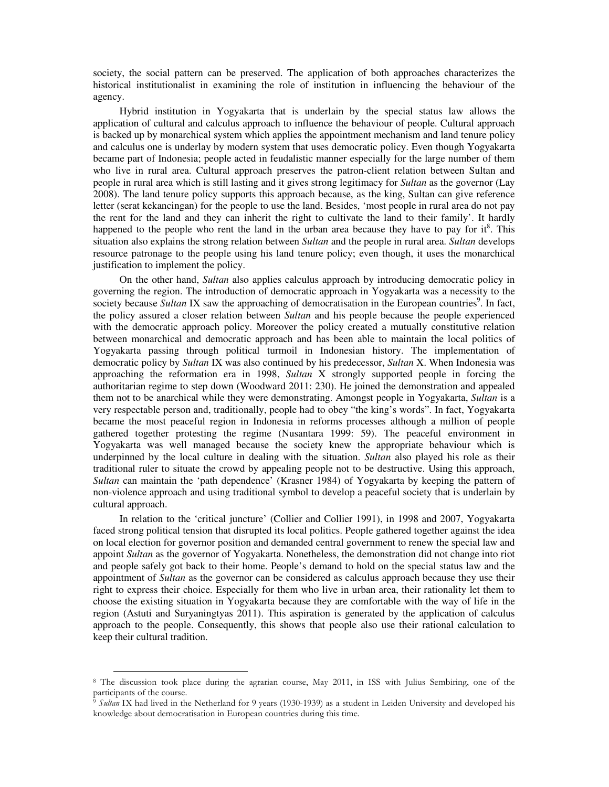society, the social pattern can be preserved. The application of both approaches characterizes the historical institutionalist in examining the role of institution in influencing the behaviour of the agency.

Hybrid institution in Yogyakarta that is underlain by the special status law allows the application of cultural and calculus approach to influence the behaviour of people. Cultural approach is backed up by monarchical system which applies the appointment mechanism and land tenure policy and calculus one is underlay by modern system that uses democratic policy. Even though Yogyakarta became part of Indonesia; people acted in feudalistic manner especially for the large number of them who live in rural area. Cultural approach preserves the patron-client relation between Sultan and people in rural area which is still lasting and it gives strong legitimacy for *Sultan* as the governor (Lay 2008). The land tenure policy supports this approach because, as the king, Sultan can give reference letter (serat kekancingan) for the people to use the land. Besides, 'most people in rural area do not pay the rent for the land and they can inherit the right to cultivate the land to their family'. It hardly happened to the people who rent the land in the urban area because they have to pay for it<sup>8</sup>. This situation also explains the strong relation between *Sultan* and the people in rural area. *Sultan* develops resource patronage to the people using his land tenure policy; even though, it uses the monarchical justification to implement the policy.

On the other hand, *Sultan* also applies calculus approach by introducing democratic policy in governing the region. The introduction of democratic approach in Yogyakarta was a necessity to the society because Sultan IX saw the approaching of democratisation in the European countries<sup>9</sup>. In fact, the policy assured a closer relation between *Sultan* and his people because the people experienced with the democratic approach policy. Moreover the policy created a mutually constitutive relation between monarchical and democratic approach and has been able to maintain the local politics of Yogyakarta passing through political turmoil in Indonesian history. The implementation of democratic policy by *Sultan* IX was also continued by his predecessor, *Sultan* X. When Indonesia was approaching the reformation era in 1998, *Sultan* X strongly supported people in forcing the authoritarian regime to step down (Woodward 2011: 230). He joined the demonstration and appealed them not to be anarchical while they were demonstrating. Amongst people in Yogyakarta, *Sultan* is a very respectable person and, traditionally, people had to obey "the king's words". In fact, Yogyakarta became the most peaceful region in Indonesia in reforms processes although a million of people gathered together protesting the regime (Nusantara 1999: 59). The peaceful environment in Yogyakarta was well managed because the society knew the appropriate behaviour which is underpinned by the local culture in dealing with the situation. *Sultan* also played his role as their traditional ruler to situate the crowd by appealing people not to be destructive. Using this approach, *Sultan* can maintain the 'path dependence' (Krasner 1984) of Yogyakarta by keeping the pattern of non-violence approach and using traditional symbol to develop a peaceful society that is underlain by cultural approach.

In relation to the 'critical juncture' (Collier and Collier 1991), in 1998 and 2007, Yogyakarta faced strong political tension that disrupted its local politics. People gathered together against the idea on local election for governor position and demanded central government to renew the special law and appoint *Sultan* as the governor of Yogyakarta. Nonetheless, the demonstration did not change into riot and people safely got back to their home. People's demand to hold on the special status law and the appointment of *Sultan* as the governor can be considered as calculus approach because they use their right to express their choice. Especially for them who live in urban area, their rationality let them to choose the existing situation in Yogyakarta because they are comfortable with the way of life in the region (Astuti and Suryaningtyas 2011). This aspiration is generated by the application of calculus approach to the people. Consequently, this shows that people also use their rational calculation to keep their cultural tradition.

-

<sup>8</sup> The discussion took place during the agrarian course, May 2011, in ISS with Julius Sembiring, one of the participants of the course.

 $\frac{1}{9}$  Sultan IX had lived in the Netherland for 9 years (1930-1939) as a student in Leiden University and developed his knowledge about democratisation in European countries during this time.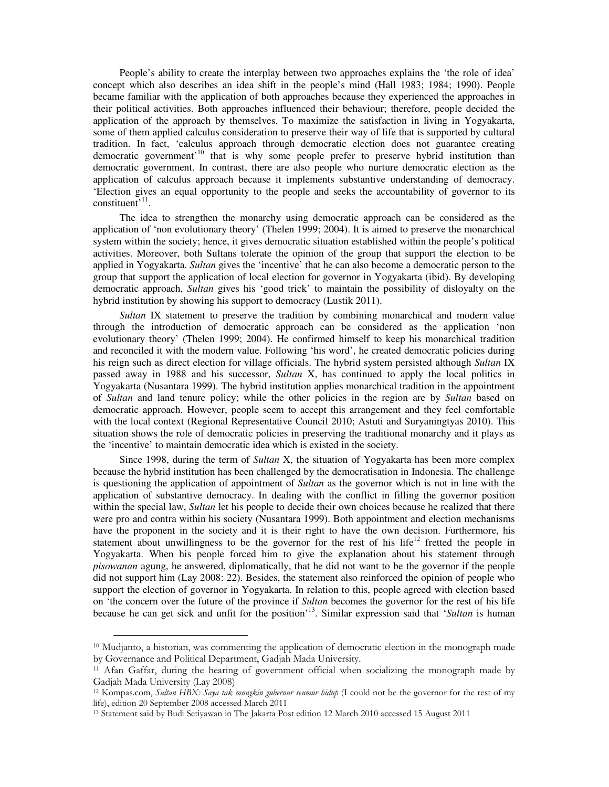People's ability to create the interplay between two approaches explains the 'the role of idea' concept which also describes an idea shift in the people's mind (Hall 1983; 1984; 1990). People became familiar with the application of both approaches because they experienced the approaches in their political activities. Both approaches influenced their behaviour; therefore, people decided the application of the approach by themselves. To maximize the satisfaction in living in Yogyakarta, some of them applied calculus consideration to preserve their way of life that is supported by cultural tradition. In fact, 'calculus approach through democratic election does not guarantee creating democratic government<sup>10</sup> that is why some people prefer to preserve hybrid institution than democratic government. In contrast, there are also people who nurture democratic election as the application of calculus approach because it implements substantive understanding of democracy. 'Election gives an equal opportunity to the people and seeks the accountability of governor to its  $constituent$ <sup>, 11</sup>.

The idea to strengthen the monarchy using democratic approach can be considered as the application of 'non evolutionary theory' (Thelen 1999; 2004). It is aimed to preserve the monarchical system within the society; hence, it gives democratic situation established within the people's political activities. Moreover, both Sultans tolerate the opinion of the group that support the election to be applied in Yogyakarta. *Sultan* gives the 'incentive' that he can also become a democratic person to the group that support the application of local election for governor in Yogyakarta (ibid). By developing democratic approach, *Sultan* gives his 'good trick' to maintain the possibility of disloyalty on the hybrid institution by showing his support to democracy (Lustik 2011).

*Sultan* IX statement to preserve the tradition by combining monarchical and modern value through the introduction of democratic approach can be considered as the application 'non evolutionary theory' (Thelen 1999; 2004). He confirmed himself to keep his monarchical tradition and reconciled it with the modern value. Following 'his word', he created democratic policies during his reign such as direct election for village officials. The hybrid system persisted although *Sultan* IX passed away in 1988 and his successor, *Sultan* X, has continued to apply the local politics in Yogyakarta (Nusantara 1999). The hybrid institution applies monarchical tradition in the appointment of *Sultan* and land tenure policy; while the other policies in the region are by *Sultan* based on democratic approach. However, people seem to accept this arrangement and they feel comfortable with the local context (Regional Representative Council 2010; Astuti and Suryaningtyas 2010). This situation shows the role of democratic policies in preserving the traditional monarchy and it plays as the 'incentive' to maintain democratic idea which is existed in the society.

Since 1998, during the term of *Sultan* X, the situation of Yogyakarta has been more complex because the hybrid institution has been challenged by the democratisation in Indonesia. The challenge is questioning the application of appointment of *Sultan* as the governor which is not in line with the application of substantive democracy. In dealing with the conflict in filling the governor position within the special law, *Sultan* let his people to decide their own choices because he realized that there were pro and contra within his society (Nusantara 1999). Both appointment and election mechanisms have the proponent in the society and it is their right to have the own decision. Furthermore, his statement about unwillingness to be the governor for the rest of his life<sup>12</sup> fretted the people in Yogyakarta. When his people forced him to give the explanation about his statement through *pisowanan* agung, he answered, diplomatically, that he did not want to be the governor if the people did not support him (Lay 2008: 22). Besides, the statement also reinforced the opinion of people who support the election of governor in Yogyakarta. In relation to this, people agreed with election based on 'the concern over the future of the province if *Sultan* becomes the governor for the rest of his life because he can get sick and unfit for the position'<sup>13</sup>. Similar expression said that '*Sultan* is human

1

<sup>10</sup> Mudjanto, a historian, was commenting the application of democratic election in the monograph made by Governance and Political Department, Gadjah Mada University.

<sup>11</sup> Afan Gaffar, during the hearing of government official when socializing the monograph made by Gadjah Mada University (Lay 2008)

<sup>&</sup>lt;sup>12</sup> Kompas.com, Sultan HBX: Saya tak *mungkin gubernur seumur hidup* (I could not be the governor for the rest of my life), edition 20 September 2008 accessed March 2011

<sup>13</sup> Statement said by Budi Setiyawan in The Jakarta Post edition 12 March 2010 accessed 15 August 2011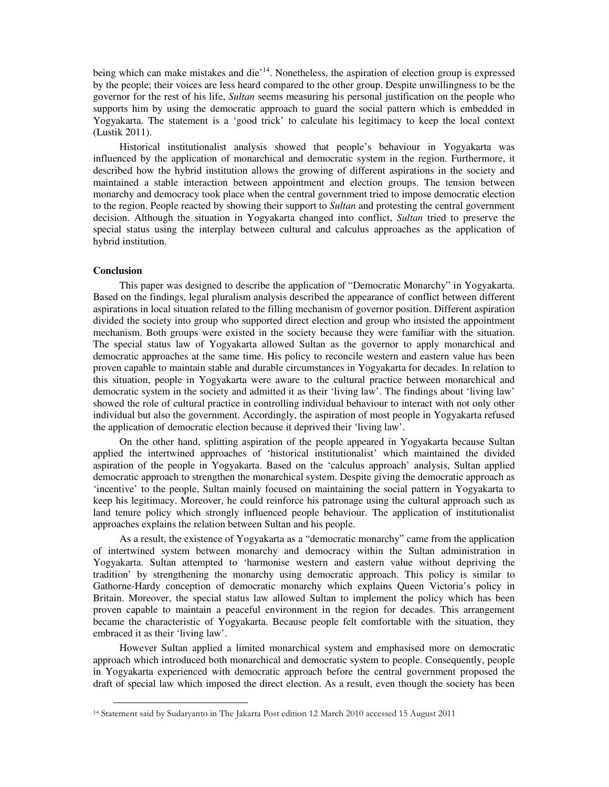being which can make mistakes and die<sup>14</sup>. Nonetheless, the aspiration of election group is expressed by the people; their voices are less heard compared to the other group. Despite unwillingness to be the governor for the rest of his life, *Sultan* seems measuring his personal justification on the people who supports him by using the democratic approach to guard the social pattern which is embedded in Yogyakarta. The statement is a 'good trick' to calculate his legitimacy to keep the local context (Lustik 2011).

Historical institutionalist analysis showed that people's behaviour in Yogyakarta was influenced by the application of monarchical and democratic system in the region. Furthermore, it described how the hybrid institution allows the growing of different aspirations in the society and maintained a stable interaction between appointment and election groups. The tension between monarchy and democracy took place when the central government tried to impose democratic election to the region. People reacted by showing their support to *Sultan* and protesting the central government decision. Although the situation in Yogyakarta changed into conflict, *Sultan* tried to preserve the special status using the interplay between cultural and calculus approaches as the application of hybrid institution.

### **Conclusion**

-

This paper was designed to describe the application of "Democratic Monarchy" in Yogyakarta. Based on the findings, legal pluralism analysis described the appearance of conflict between different aspirations in local situation related to the filling mechanism of governor position. Different aspiration divided the society into group who supported direct election and group who insisted the appointment mechanism. Both groups were existed in the society because they were familiar with the situation. The special status law of Yogyakarta allowed Sultan as the governor to apply monarchical and democratic approaches at the same time. His policy to reconcile western and eastern value has been proven capable to maintain stable and durable circumstances in Yogyakarta for decades. In relation to this situation, people in Yogyakarta were aware to the cultural practice between monarchical and democratic system in the society and admitted it as their 'living law'. The findings about 'living law' showed the role of cultural practice in controlling individual behaviour to interact with not only other individual but also the government. Accordingly, the aspiration of most people in Yogyakarta refused the application of democratic election because it deprived their 'living law'.

On the other hand, splitting aspiration of the people appeared in Yogyakarta because Sultan applied the intertwined approaches of 'historical institutionalist' which maintained the divided aspiration of the people in Yogyakarta. Based on the 'calculus approach' analysis, Sultan applied democratic approach to strengthen the monarchical system. Despite giving the democratic approach as 'incentive' to the people, Sultan mainly focused on maintaining the social pattern in Yogyakarta to keep his legitimacy. Moreover, he could reinforce his patronage using the cultural approach such as land tenure policy which strongly influenced people behaviour. The application of institutionalist approaches explains the relation between Sultan and his people.

As a result, the existence of Yogyakarta as a "democratic monarchy" came from the application of intertwined system between monarchy and democracy within the Sultan administration in Yogyakarta. Sultan attempted to 'harmonise western and eastern value without depriving the tradition' by strengthening the monarchy using democratic approach. This policy is similar to Gathorne-Hardy conception of democratic monarchy which explains Queen Victoria's policy in Britain. Moreover, the special status law allowed Sultan to implement the policy which has been proven capable to maintain a peaceful environment in the region for decades. This arrangement became the characteristic of Yogyakarta. Because people felt comfortable with the situation, they embraced it as their 'living law'.

However Sultan applied a limited monarchical system and emphasised more on democratic approach which introduced both monarchical and democratic system to people. Consequently, people in Yogyakarta experienced with democratic approach before the central government proposed the draft of special law which imposed the direct election. As a result, even though the society has been

<sup>14</sup> Statement said by Sudaryanto in The Jakarta Post edition 12 March 2010 accessed 15 August 2011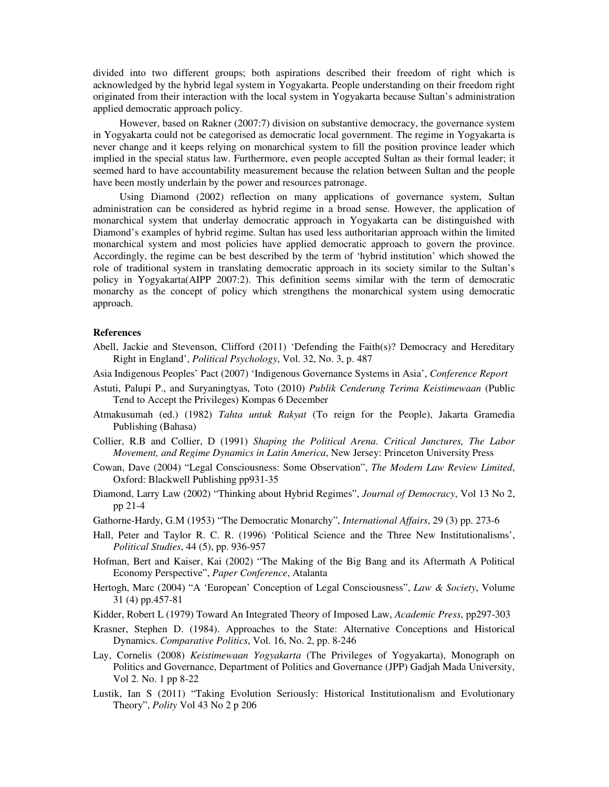divided into two different groups; both aspirations described their freedom of right which is acknowledged by the hybrid legal system in Yogyakarta. People understanding on their freedom right originated from their interaction with the local system in Yogyakarta because Sultan's administration applied democratic approach policy.

However, based on Rakner (2007:7) division on substantive democracy, the governance system in Yogyakarta could not be categorised as democratic local government. The regime in Yogyakarta is never change and it keeps relying on monarchical system to fill the position province leader which implied in the special status law. Furthermore, even people accepted Sultan as their formal leader; it seemed hard to have accountability measurement because the relation between Sultan and the people have been mostly underlain by the power and resources patronage.

Using Diamond (2002) reflection on many applications of governance system, Sultan administration can be considered as hybrid regime in a broad sense. However, the application of monarchical system that underlay democratic approach in Yogyakarta can be distinguished with Diamond's examples of hybrid regime. Sultan has used less authoritarian approach within the limited monarchical system and most policies have applied democratic approach to govern the province. Accordingly, the regime can be best described by the term of 'hybrid institution' which showed the role of traditional system in translating democratic approach in its society similar to the Sultan's policy in Yogyakarta(AIPP 2007:2). This definition seems similar with the term of democratic monarchy as the concept of policy which strengthens the monarchical system using democratic approach.

# **References**

- Abell, Jackie and Stevenson, Clifford (2011) 'Defending the Faith(s)? Democracy and Hereditary Right in England', *Political Psychology*, Vol. 32, No. 3, p. 487
- Asia Indigenous Peoples' Pact (2007) 'Indigenous Governance Systems in Asia', *Conference Report*
- Astuti, Palupi P., and Suryaningtyas, Toto (2010) *Publik Cenderung Terima Keistimewaan* (Public Tend to Accept the Privileges) Kompas 6 December
- Atmakusumah (ed.) (1982) *Tahta untuk Rakyat* (To reign for the People), Jakarta Gramedia Publishing (Bahasa)
- Collier, R.B and Collier, D (1991) *Shaping the Political Arena. Critical Junctures, The Labor Movement, and Regime Dynamics in Latin America*, New Jersey: Princeton University Press
- Cowan, Dave (2004) "Legal Consciousness: Some Observation", *The Modern Law Review Limited*, Oxford: Blackwell Publishing pp931-35
- Diamond, Larry Law (2002) "Thinking about Hybrid Regimes", *Journal of Democracy*, Vol 13 No 2, pp 21-4
- Gathorne-Hardy, G.M (1953) "The Democratic Monarchy", *International Affairs*, 29 (3) pp. 273-6
- Hall, Peter and Taylor R. C. R. (1996) 'Political Science and the Three New Institutionalisms', *Political Studies*, 44 (5), pp. 936-957
- Hofman, Bert and Kaiser, Kai (2002) "The Making of the Big Bang and its Aftermath A Political Economy Perspective", *Paper Conference*, Atalanta
- Hertogh, Marc (2004) "A 'European' Conception of Legal Consciousness", *Law & Society*, Volume 31 (4) pp.457-81
- Kidder, Robert L (1979) Toward An Integrated Theory of Imposed Law, *Academic Press*, pp297-303
- Krasner, Stephen D. (1984). Approaches to the State: Alternative Conceptions and Historical Dynamics. *Comparative Politics*, Vol. 16, No. 2, pp. 8-246
- Lay, Cornelis (2008) *Keistimewaan Yogyakarta* (The Privileges of Yogyakarta), Monograph on Politics and Governance, Department of Politics and Governance (JPP) Gadjah Mada University, Vol 2. No. 1 pp 8-22
- Lustik, Ian S (2011) "Taking Evolution Seriously: Historical Institutionalism and Evolutionary Theory", *Polity* Vol 43 No 2 p 206